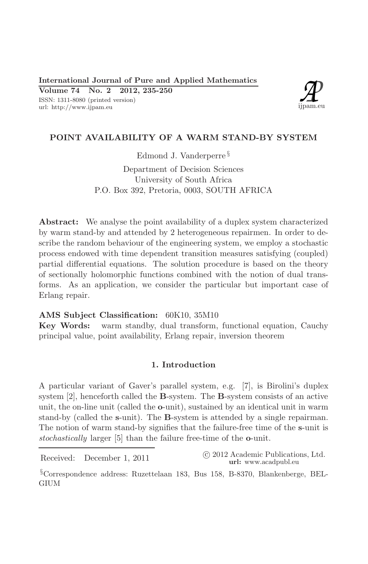**International Journal of Pure and Applied Mathematics** 2012, 235-250 Volume 74  $\boxed{\text{No. 2}}$ ISSN: 1311-8080 (printed version) url: http://www.ijpam.eu



# POINT AVAILABILITY OF A WARM STAND-BY SYSTEM

Edmond J. Vanderperre  $\S$ Department of Decision Sciences University of South Africa P.O. Box 392, Pretoria, 0003, SOUTH AFRICA

**Abstract:** We analyse the point availability of a duplex system characterized by warm stand-by and attended by 2 heterogeneous repairmen. In order to describe the random behaviour of the engineering system, we employ a stochastic process endowed with time dependent transition measures satisfying (coupled) partial differential equations. The solution procedure is based on the theory of sectionally holomorphic functions combined with the notion of dual transforms. As an application, we consider the particular but important case of Erlang repair.

## AMS Subject Classification: 60K10, 35M10

Key Words: warm standby, dual transform, functional equation, Cauchy principal value, point availability, Erlang repair, inversion theorem

## 1. Introduction

A particular variant of Gaver's parallel system, e.g. [7], is Birolini's duplex system  $[2]$ , henceforth called the **B**-system. The **B**-system consists of an active unit, the on-line unit (called the **o**-unit), sustained by an identical unit in warm stand-by (called the s-unit). The B-system is attended by a single repairman. The notion of warm stand-by signifies that the failure-free time of the s-unit is *stochastically* larger [5] than the failure free-time of the **o**-unit.

Received: December 1, 2011

<sup>(</sup>c) 2012 Academic Publications, Ltd. url: www.acadpubl.eu

<sup>&</sup>lt;sup>§</sup>Correspondence address: Ruzettelaan 183, Bus 158, B-8370, Blankenberge, BEL-**GIUM**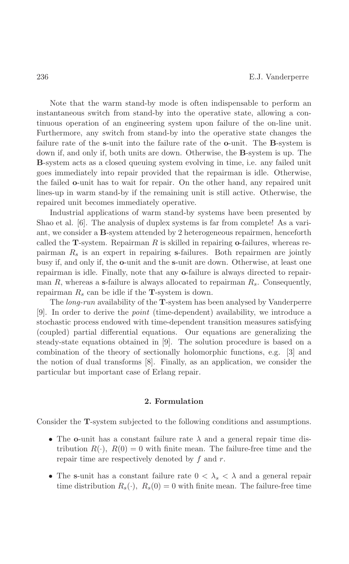Note that the warm stand-by mode is often indispensable to perform an instantaneous switch from stand-by into the operative state, allowing a continuous operation of an engineering system upon failure of the on-line unit. Furthermore, any switch from stand-by into the operative state changes the failure rate of the s-unit into the failure rate of the **o**-unit. The **B**-system is down if, and only if, both units are down. Otherwise, the B-system is up. The **B**-system acts as a closed queuing system evolving in time, i.e. any failed unit goes immediately into repair provided that the repairman is idle. Otherwise, the failed **o**-unit has to wait for repair. On the other hand, any repaired unit lines-up in warm stand-by if the remaining unit is still active. Otherwise, the repaired unit becomes immediately operative.

Industrial applications of warm stand-by systems have been presented by Shao et al. [6]. The analysis of duplex systems is far from complete! As a variant, we consider a B-system attended by 2 heterogeneous repairmen, henceforth called the T-system. Repairman  $R$  is skilled in repairing o-failures, whereas repairman  $R_s$  is an expert in repairing s-failures. Both repairmen are jointly busy if, and only if, the **o**-unit and the **s**-unit are down. Otherwise, at least one repairman is idle. Finally, note that any **o**-failure is always directed to repairman  $R$ , whereas a s-failure is always allocated to repairman  $R_s$ . Consequently, repairman  $R_s$  can be idle if the **T**-system is down.

The *long-run* availability of the  $T$ -system has been analysed by Vanderperre [9]. In order to derive the *point* (time-dependent) availability, we introduce a stochastic process endowed with time-dependent transition measures satisfying (coupled) partial differential equations. Our equations are generalizing the steady-state equations obtained in [9]. The solution procedure is based on a combination of the theory of sectionally holomorphic functions, e.g. [3] and the notion of dual transforms [8]. Finally, as an application, we consider the particular but important case of Erlang repair.

#### 2. Formulation

Consider the **T**-system subjected to the following conditions and assumptions.

- The o-unit has a constant failure rate  $\lambda$  and a general repair time distribution  $R(\cdot)$ ,  $R(0) = 0$  with finite mean. The failure-free time and the repair time are respectively denoted by  $f$  and  $r$ .
- The s-unit has a constant failure rate  $0 < \lambda_s < \lambda$  and a general repair time distribution  $R_s(\cdot)$ ,  $R_s(0) = 0$  with finite mean. The failure-free time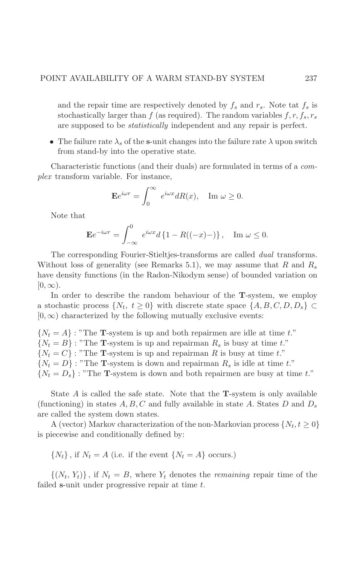and the repair time are respectively denoted by  $f_s$  and  $r_s$ . Note tat  $f_s$  is stochastically larger than f (as required). The random variables  $f, r, f_s, r_s$ are supposed to be *statistically* independent and any repair is perfect.

• The failure rate  $\lambda_s$  of the s-unit changes into the failure rate  $\lambda$  upon switch from stand-by into the operative state.

Characteristic functions (and their duals) are formulated in terms of a *complex* transform variable. For instance,

$$
\mathbf{E}e^{i\omega r} = \int_0^\infty e^{i\omega x} dR(x), \quad \text{Im } \omega \ge 0.
$$

Note that

$$
\mathbf{E}e^{-i\omega r} = \int_{-\infty}^{0} e^{i\omega x} d\left\{1 - R((-x)-)\right\}, \quad \text{Im } \omega \le 0.
$$

The corresponding Fourier-Stieltjes-transforms are called *dual* transforms. Without loss of generality (see Remarks 5.1), we may assume that R and  $R_s$ have density functions (in the Radon-Nikodym sense) of bounded variation on  $[0,\infty).$ 

In order to describe the random behaviour of the  $\mathbf{T}$ -system, we employ a stochastic process  $\{N_t, t \geq 0\}$  with discrete state space  $\{A, B, C, D, D_s\} \subset$  $[0,\infty)$  characterized by the following mutually exclusive events:

 $\{N_t = A\}$ : "The **T**-system is up and both repairmen are idle at time t."  $\{N_t = B\}$ : "The **T**-system is up and repairman  $R_s$  is busy at time t."  $\{N_t = C\}$ : "The **T**-system is up and repairman R is busy at time t."  $\{N_t = D\}$ : "The **T**-system is down and repairman  $R_s$  is idle at time t."  $\{N_t = D_s\}$ : "The **T**-system is down and both repairmen are busy at time t."

State A is called the safe state. Note that the **T**-system is only available (functioning) in states  $A, B, C$  and fully available in state A. States D and  $D_s$ are called the system down states.

A (vector) Markov characterization of the non-Markovian process  $\{N_t, t \geq 0\}$ is piecewise and conditionally defined by:

 $\{N_t\}$ , if  $N_t = A$  (i.e. if the event  $\{N_t = A\}$  occurs.)

 $\{(N_t, Y_t)\}\$ , if  $N_t = B$ , where  $Y_t$  denotes the *remaining* repair time of the failed s-unit under progressive repair at time  $t$ .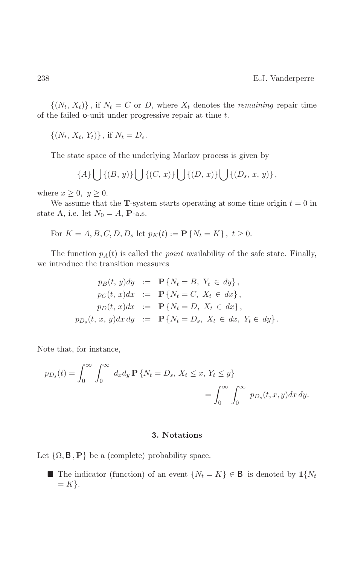$\{(N_t, X_t)\}\,$ , if  $N_t = C$  or D, where  $X_t$  denotes the *remaining* repair time of the failed  $\boldsymbol{\sigma}$ -unit under progressive repair at time t.

 $\{(N_t, X_t, Y_t)\}\,$ , if  $N_t = D_s$ .

The state space of the underlying Markov process is given by

$$
\{A\} \bigcup \{(B, y)\} \bigcup \{(C, x)\} \bigcup \{(D, x)\} \bigcup \{(D_s, x, y)\},
$$

where  $x \geq 0, y \geq 0$ .

We assume that the T-system starts operating at some time origin  $t = 0$  in state A, i.e. let  $N_0 = A$ , **P**-a.s.

For 
$$
K = A, B, C, D, D_s
$$
 let  $p_K(t) := \mathbf{P} \{ N_t = K \}, t \ge 0$ .

The function  $p_A(t)$  is called the *point* availability of the safe state. Finally, we introduce the transition measures

$$
p_B(t, y)dy := \mathbf{P}\{N_t = B, Y_t \in dy\},
$$
  
\n
$$
p_C(t, x)dx := \mathbf{P}\{N_t = C, X_t \in dx\},
$$
  
\n
$$
p_D(t, x)dx := \mathbf{P}\{N_t = D, X_t \in dx\},
$$
  
\n
$$
p_{D_s}(t, x, y)dx dy := \mathbf{P}\{N_t = D_s, X_t \in dx, Y_t \in dy\}.
$$

Note that, for instance,

$$
p_{D_s}(t) = \int_0^\infty \int_0^\infty d_x d_y \, \mathbf{P} \left\{ N_t = D_s, \, X_t \le x, \, Y_t \le y \right\}
$$
  
= 
$$
\int_0^\infty \int_0^\infty p_{D_s}(t, x, y) dx dy.
$$

### 3. Notations

Let  $\{\Omega, \mathbf{B}, \mathbf{P}\}\$  be a (complete) probability space.

■ The indicator (function) of an event  $\{N_t = K\} \in \mathbf{B}$  is denoted by  $\mathbf{1}\{N_t\}$  $= K$ .

238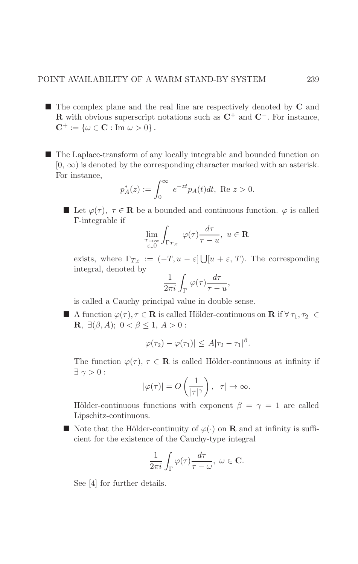$\blacksquare$  The complex plane and the real line are respectively denoted by  $C$  and **R** with obvious superscript notations such as  $C^+$  and  $C^-$ . For instance,  $\mathbf{C}^+ := \{ \omega \in \mathbf{C} : \text{Im } \omega > 0 \}.$ 

239

 $\blacksquare$  The Laplace-transform of any locally integrable and bounded function on  $[0, \infty)$  is denoted by the corresponding character marked with an asterisk. For instance,

$$
p_A^*(z) := \int_0^\infty e^{-zt} p_A(t) dt
$$
, Re  $z > 0$ .

**Let**  $\varphi(\tau)$ ,  $\tau \in \mathbf{R}$  be a bounded and continuous function.  $\varphi$  is called T-integrable if

$$
\lim_{\substack{T \to \infty \\ \varepsilon \downarrow 0}} \int_{\Gamma_{T,\varepsilon}} \varphi(\tau) \frac{d\tau}{\tau - u}, \ u \in \mathbf{R}
$$

exists, where  $\Gamma_{T,\varepsilon} := (-T, u - \varepsilon] \bigcup [u + \varepsilon, T]$ . The corresponding integral, denoted by

$$
\frac{1}{2\pi i} \int_{\Gamma} \varphi(\tau) \frac{d\tau}{\tau - u},
$$

is called a Cauchy principal value in double sense.

A function  $\varphi(\tau)$ ,  $\tau \in \mathbf{R}$  is called Hölder-continuous on  $\mathbf{R}$  if  $\forall \tau_1, \tau_2 \in$ **R**,  $\exists (\beta, A); 0 < \beta \leq 1, A > 0$ :

$$
|\varphi(\tau_2)-\varphi(\tau_1)|\leq A|\tau_2-\tau_1|^\beta.
$$

The function  $\varphi(\tau)$ ,  $\tau \in \mathbf{R}$  is called Hölder-continuous at infinity if  $\exists \gamma > 0:$ 

$$
|\varphi(\tau)| = O\left(\frac{1}{|\tau|^{\gamma}}\right), \ |\tau| \to \infty
$$

Hölder-continuous functions with exponent  $\beta = \gamma = 1$  are called Lipschitz-continuous.

■ Note that the Hölder-continuity of  $\varphi(\cdot)$  on **R** and at infinity is sufficient for the existence of the Cauchy-type integral

$$
\frac{1}{2\pi i} \int_{\Gamma} \varphi(\tau) \frac{d\tau}{\tau - \omega}, \ \omega \in \mathbf{C}.
$$

See [4] for further details.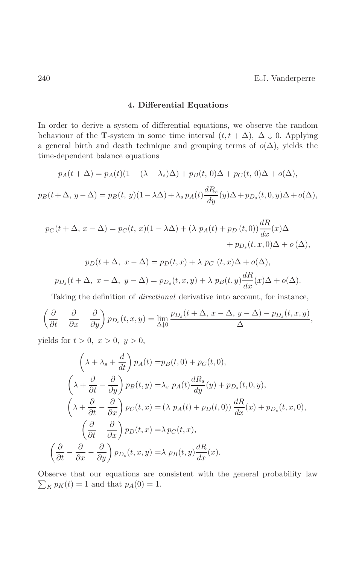E.J. Vanderperre

### 4. Differential Equations

In order to derive a system of differential equations, we observe the random behaviour of the **T**-system in some time interval  $(t, t + \Delta)$ ,  $\Delta \downarrow 0$ . Applying a general birth and death technique and grouping terms of  $o(\Delta)$ , yields the time-dependent balance equations

$$
p_A(t + \Delta) = p_A(t)(1 - (\lambda + \lambda_s)\Delta) + p_B(t, 0)\Delta + p_C(t, 0)\Delta + o(\Delta),
$$
  

$$
p_B(t + \Delta, y - \Delta) = p_B(t, y)(1 - \lambda\Delta) + \lambda_s p_A(t)\frac{dR_s}{dy}(y)\Delta + p_{D_s}(t, 0, y)\Delta + o(\Delta),
$$

$$
p_C(t + \Delta, x - \Delta) = p_C(t, x)(1 - \lambda \Delta) + (\lambda p_A(t) + p_D(t, 0)) \frac{dR}{dx}(x)\Delta
$$

$$
+ p_{D_s}(t, x, 0)\Delta + o(\Delta),
$$

$$
p_D(t + \Delta, x - \Delta) = p_D(t, x) + \lambda p_C(t, x)\Delta + o(\Delta),
$$

$$
p_{D_s}(t+\Delta, x-\Delta, y-\Delta) = p_{D_s}(t, x, y) + \lambda p_B(t, y) \frac{dR}{dx}(x)\Delta + o(\Delta).
$$

Taking the definition of *directional* derivative into account, for instance,

$$
\left(\frac{\partial}{\partial t} - \frac{\partial}{\partial x} - \frac{\partial}{\partial y}\right) p_{D_s}(t, x, y) = \lim_{\Delta \downarrow 0} \frac{p_{D_s}(t + \Delta, x - \Delta, y - \Delta) - p_{D_s}(t, x, y)}{\Delta},
$$

yields for  $t > 0$ ,  $x > 0$ ,  $y > 0$ ,

$$
\left(\lambda + \lambda_s + \frac{d}{dt}\right) p_A(t) = p_B(t, 0) + p_C(t, 0),
$$
\n
$$
\left(\lambda + \frac{\partial}{\partial t} - \frac{\partial}{\partial y}\right) p_B(t, y) = \lambda_s \ p_A(t) \frac{dR_s}{dy}(y) + p_{D_s}(t, 0, y),
$$
\n
$$
\left(\lambda + \frac{\partial}{\partial t} - \frac{\partial}{\partial x}\right) p_C(t, x) = \left(\lambda \ p_A(t) + p_D(t, 0)\right) \frac{dR}{dx}(x) + p_{D_s}(t, x, 0),
$$
\n
$$
\left(\frac{\partial}{\partial t} - \frac{\partial}{\partial x}\right) p_D(t, x) = \lambda p_C(t, x),
$$
\n
$$
\frac{\partial}{\partial t} - \frac{\partial}{\partial x} - \frac{\partial}{\partial y}\right) p_{D_s}(t, x, y) = \lambda p_B(t, y) \frac{dR}{dx}(x).
$$

Observe that our equations are consistent with the general probability law  $\sum_K p_K(t) = 1$  and that  $p_A(0) = 1$ .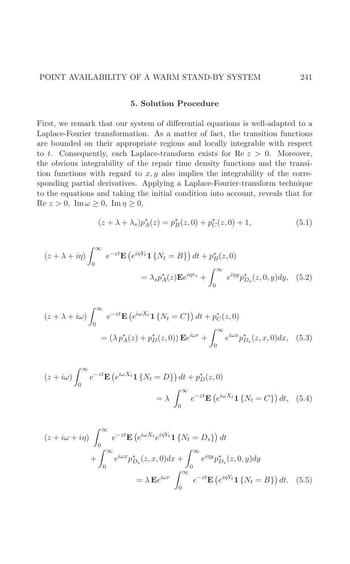### 5. Solution Procedure

First, we remark that our system of differential equations is well-adapted to a Laplace-Fourier transformation. As a matter of fact, the transition functions are bounded on their appropriate regions and locally integrable with respect to t. Consequently, each Laplace-transform exists for Re  $z > 0$ . Moreover, the obvious integrability of the repair time density functions and the transition functions with regard to  $x, y$  also implies the integrability of the corresponding partial derivatives. Applying a Laplace-Fourier-transform technique to the equations and taking the initial condition into account, reveals that for  $\text{Re } z > 0$ ,  $\text{Im } \omega \geq 0$ ,  $\text{Im } \eta \geq 0$ ,

$$
(z + \lambda + \lambda_s) p_A^*(z) = p_B^*(z, 0) + p_C^*(z, 0) + 1,\tag{5.1}
$$

$$
(z + \lambda + i\eta) \int_0^\infty e^{-zt} \mathbf{E} \left( e^{i\eta Y_t} \mathbf{1} \{ N_t = B \} \right) dt + p_B^*(z, 0)
$$

$$
= \lambda_s p_A^*(z) \mathbf{E} e^{i\eta r_s} + \int_0^\infty e^{i\eta y} p_{D_s}^*(z, 0, y) dy, \quad (5.2)
$$

$$
(z + \lambda + i\omega) \int_0^\infty e^{-zt} \mathbf{E} \left( e^{i\omega X_t} \mathbf{1} \left\{ N_t = C \right\} \right) dt + p_C^*(z, 0)
$$

$$
= (\lambda p_A^*(z) + p_D^*(z, 0)) \mathbf{E} e^{i\omega x} + \int_0^\infty e^{i\omega x} p_{D_s}^*(z, x, 0) dx, \quad (5.3)
$$

$$
(z + i\omega) \int_0^\infty e^{-zt} \mathbf{E} \left( e^{i\omega X_t} \mathbf{1} \{ N_t = D \} \right) dt + p_D^*(z, 0)
$$

$$
= \lambda \int_0^\infty e^{-zt} \mathbf{E} \left( e^{i\omega X_t} \mathbf{1} \{ N_t = C \} \right) dt, \quad (5.4)
$$

$$
(z + i\omega + i\eta) \int_0^\infty e^{-zt} \mathbf{E} \left( e^{i\omega X_t} e^{i\eta Y_t} \mathbf{1} \left\{ N_t = D_s \right\} \right) dt
$$

$$
+ \int_0^\infty e^{i\omega x} p_{D_s}^*(z, x, 0) dx + \int_0^\infty e^{i\eta y} p_{D_s}^*(z, 0, y) dy
$$

$$
= \lambda \mathbf{E} e^{i\omega r} \int_0^\infty e^{-zt} \mathbf{E} \left( e^{i\eta Y_t} \mathbf{1} \left\{ N_t = B \right\} \right) dt. \quad (5.5)
$$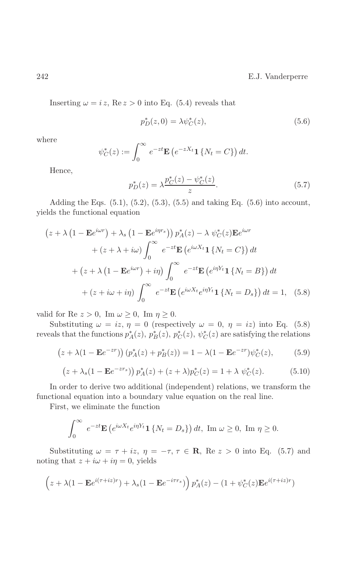Inserting  $\omega = i z$ , Re  $z > 0$  into Eq. (5.4) reveals that

$$
p_D^*(z,0) = \lambda \psi_C^*(z),\tag{5.6}
$$

where

$$
\psi_C^*(z) := \int_0^\infty e^{-zt} \mathbf{E} \left( e^{-zX_t} \mathbf{1} \left\{ N_t = C \right\} \right) dt.
$$

Hence,

$$
p_D^*(z) = \lambda \frac{p_C^*(z) - \psi_C^*(z)}{z}.
$$
\n(5.7)

Adding the Eqs.  $(5.1)$ ,  $(5.2)$ ,  $(5.3)$ ,  $(5.5)$  and taking Eq.  $(5.6)$  into account, yields the functional equation

$$
(z + \lambda (1 - \mathbf{E}e^{i\omega r}) + \lambda_s (1 - \mathbf{E}e^{i\eta r_s})) p_A^*(z) - \lambda \psi_C^*(z) \mathbf{E}e^{i\omega r}
$$
  
+  $(z + \lambda + i\omega) \int_0^\infty e^{-zt} \mathbf{E} (e^{i\omega X_t} \mathbf{1} \{N_t = C\}) dt$   
+  $(z + \lambda (1 - \mathbf{E}e^{i\omega r}) + i\eta) \int_0^\infty e^{-zt} \mathbf{E} (e^{i\eta Y_t} \mathbf{1} \{N_t = B\}) dt$   
+  $(z + i\omega + i\eta) \int_0^\infty e^{-zt} \mathbf{E} (e^{i\omega X_t} e^{i\eta Y_t} \mathbf{1} \{N_t = D_s\}) dt = 1$ , (5.8)

valid for Re  $z > 0$ , Im  $\omega \geq 0$ , Im  $\eta \geq 0$ .

Substituting  $\omega = iz, \eta = 0$  (respectively  $\omega = 0, \eta = iz$ ) into Eq. (5.8) reveals that the functions  $p_A^*(z)$ ,  $p_B^*(z)$ ,  $p_C^*(z)$ ,  $\psi_C^*(z)$  are satisfying the relations

$$
(z + \lambda(1 - \mathbf{E}e^{-zr})) (p_A^*(z) + p_B^*(z)) = 1 - \lambda(1 - \mathbf{E}e^{-zr}) \psi_C^*(z),
$$
 (5.9)

$$
(z + \lambda_s(1 - \mathbf{E}e^{-z\tau_s}))p_A^*(z) + (z + \lambda)p_C^*(z) = 1 + \lambda \psi_C^*(z). \tag{5.10}
$$

In order to derive two additional (independent) relations, we transform the functional equation into a boundary value equation on the real line.

First, we eliminate the function

$$
\int_0^\infty e^{-zt} \mathbf{E} \left( e^{i\omega X_t} e^{i\eta Y_t} \mathbf{1} \left\{ N_t = D_s \right\} \right) dt, \text{ Im } \omega \ge 0, \text{ Im } \eta \ge 0.
$$

Substituting  $\omega = \tau + iz$ ,  $\eta = -\tau$ ,  $\tau \in \mathbb{R}$ , Re  $z > 0$  into Eq. (5.7) and noting that  $z + i\omega + i\eta = 0$ , yields

$$
(z + \lambda(1 - \mathbf{E}e^{i(\tau + iz)r}) + \lambda_s(1 - \mathbf{E}e^{-i\tau r_s})\bigg) p_A^*(z) - (1 + \psi_C^*(z)\mathbf{E}e^{i(\tau + iz)r})
$$

242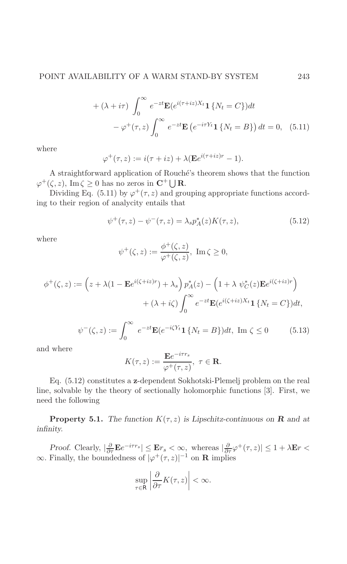$$
+(\lambda + i\tau) \int_0^\infty e^{-zt} \mathbf{E}(e^{i(\tau + iz)X_t} \mathbf{1} \{N_t = C\}) dt
$$

$$
-\varphi^+(\tau, z) \int_0^\infty e^{-zt} \mathbf{E}(e^{-i\tau Y_t} \mathbf{1} \{N_t = B\}) dt = 0, \quad (5.11)
$$

where

$$
\varphi^+(\tau, z) := i(\tau + iz) + \lambda (\mathbf{E}e^{i(\tau + iz)r} - 1).
$$

A straightforward application of Rouché's theorem shows that the function  $\varphi^+(\zeta, z)$ , Im  $\zeta \ge 0$  has no zeros in  $\mathbb{C}^+$  | JR.

Dividing Eq. (5.11) by  $\varphi^+(\tau, z)$  and grouping appropriate functions according to their region of analycity entails that

$$
\psi^+(\tau, z) - \psi^-(\tau, z) = \lambda_s p_A^*(z) K(\tau, z), \tag{5.12}
$$

where

$$
\psi^+(\zeta, z) := \frac{\phi^+(\zeta, z)}{\varphi^+(\zeta, z)}, \text{ Im }\zeta \ge 0,
$$

$$
\phi^+(\zeta, z) := \left(z + \lambda(1 - \mathbf{E}e^{i(\zeta + iz)r}) + \lambda_s\right) p_A^*(z) - \left(1 + \lambda \ \psi_C^*(z)\mathbf{E}e^{i(\zeta + iz)r}\right) \n+ (\lambda + i\zeta) \int_0^\infty e^{-zt} \mathbf{E}(e^{i(\zeta + iz)X_t} \mathbf{1}\{N_t = C\})dt, \n\psi^-(\zeta, z) := \int_0^\infty e^{-zt} \mathbf{E}(e^{-i\zeta Y_t} \mathbf{1}\{N_t = B\})dt, \text{ Im } \zeta \le 0
$$
\n(5.13)

and where

$$
K(\tau, z) := \frac{\mathbf{E}e^{-i\tau r_s}}{\varphi^+(\tau, z)}, \ \tau \in \mathbf{R}.
$$

Eq.  $(5.12)$  constitutes a z-dependent Sokhotski-Plemelj problem on the real line, solvable by the theory of sectionally holomorphic functions [3]. First, we need the following

**Property 5.1.** The function  $K(\tau, z)$  is Lipschitz-continuous on **R** and at infinity.

*Proof.* Clearly,  $|\frac{\partial}{\partial \tau} \mathbf{E}e^{-i\tau r_s}| \leq \mathbf{E}r_s < \infty$ , whereas  $|\frac{\partial}{\partial \tau}\varphi^+(\tau, z)| \leq 1 + \lambda \mathbf{E}r < \infty$ . Finally, the boundedness of  $|\varphi^+(\tau, z)|^{-1}$  on **R** implies

$$
\sup_{\tau \in \mathbf{R}} \left| \frac{\partial}{\partial \tau} K(\tau, z) \right| < \infty.
$$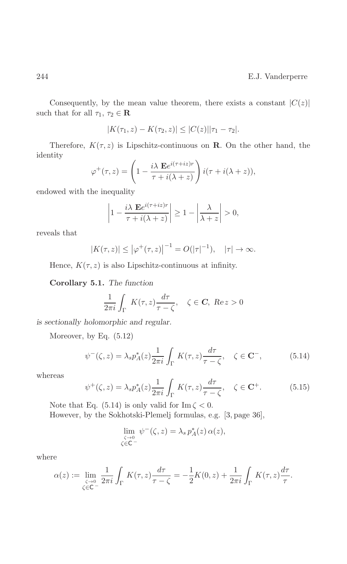Consequently, by the mean value theorem, there exists a constant  $|C(z)|$ such that for all  $\tau_1,\,\tau_2\in{\bf R}$ 

$$
|K(\tau_1, z) - K(\tau_2, z)| \leq |C(z)||\tau_1 - \tau_2|.
$$

Therefore,  $K(\tau, z)$  is Lipschitz-continuous on **R**. On the other hand, the identity

$$
\varphi^+(\tau, z) = \left(1 - \frac{i\lambda \mathbf{E}e^{i(\tau + iz)r}}{\tau + i(\lambda + z)}\right) i(\tau + i(\lambda + z)),
$$

endowed with the inequality

$$
\left|1 - \frac{i\lambda \mathbf{E}e^{i(\tau + iz)r}}{\tau + i(\lambda + z)}\right| \ge 1 - \left|\frac{\lambda}{\lambda + z}\right| > 0,
$$

reveals that

$$
|K(\tau, z)| \le |\varphi^+(\tau, z)|^{-1} = O(|\tau|^{-1}), \quad |\tau| \to \infty.
$$

Hence,  $K(\tau, z)$  is also Lipschitz-continuous at infinity.

Corollary 5.1. The function

$$
\frac{1}{2\pi i} \int_{\Gamma} K(\tau, z) \frac{d\tau}{\tau - \zeta}, \quad \zeta \in \mathbf{C}, \ \text{Re}\, z > 0
$$

is sectionally holomorphic and regular.

Moreover, by Eq.  $(5.12)$ 

$$
\psi^{-}(\zeta, z) = \lambda_s p_A^*(z) \frac{1}{2\pi i} \int_{\Gamma} K(\tau, z) \frac{d\tau}{\tau - \zeta}, \quad \zeta \in \mathbf{C}^-, \tag{5.14}
$$

whereas

$$
\psi^+(\zeta, z) = \lambda_s p_A^*(z) \frac{1}{2\pi i} \int_{\Gamma} K(\tau, z) \frac{d\tau}{\tau - \zeta}, \quad \zeta \in \mathbf{C}^+.
$$
 (5.15)

Note that Eq.  $(5.14)$  is only valid for Im  $\zeta < 0$ . However, by the Sokhotski-Plemelj formulas, e.g. [3, page 36],

$$
\lim_{\substack{\zeta \to 0 \\ \zeta \in \mathbf{C}^-}} \psi^-(\zeta, z) = \lambda_s \, p_A^*(z) \, \alpha(z),
$$

where

$$
\alpha(z) := \lim_{\substack{\zeta \to 0 \\ \zeta \in \mathbf{C}^-}} \frac{1}{2\pi i} \int_{\Gamma} K(\tau, z) \frac{d\tau}{\tau - \zeta} = -\frac{1}{2} K(0, z) + \frac{1}{2\pi i} \int_{\Gamma} K(\tau, z) \frac{d\tau}{\tau}.
$$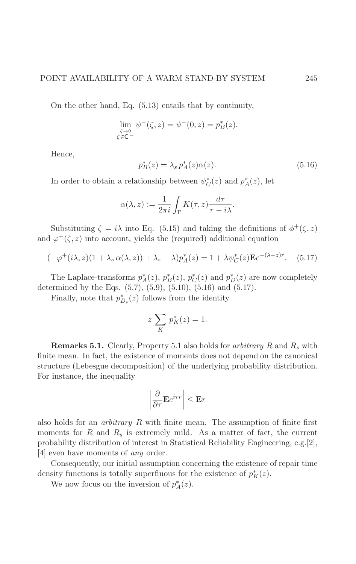### POINT AVAILABILITY OF A WARM STAND-BY SYSTEM

On the other hand, Eq.  $(5.13)$  entails that by continuity,

$$
\lim_{\substack{\zeta \to 0 \\ \zeta \in \mathbf{C}^-}} \psi^-(\zeta, z) = \psi^-(0, z) = p_B^*(z).
$$

Hence,

$$
p_B^*(z) = \lambda_s \, p_A^*(z) \alpha(z). \tag{5.16}
$$

In order to obtain a relationship between  $\psi_C^*(z)$  and  $p_A^*(z)$ , let

$$
\alpha(\lambda, z) := \frac{1}{2\pi i} \int_{\Gamma} K(\tau, z) \frac{d\tau}{\tau - i\lambda}.
$$

Substituting  $\zeta = i\lambda$  into Eq. (5.15) and taking the definitions of  $\phi^+(\zeta, z)$ and  $\varphi^+(\zeta, z)$  into account, yields the (required) additional equation

$$
(-\varphi^+(i\lambda,z)(1+\lambda_s\alpha(\lambda,z)) + \lambda_s - \lambda)p_A^*(z) = 1 + \lambda\psi_C^*(z)\mathbf{E}e^{-(\lambda+z)r}.\tag{5.17}
$$

The Laplace-transforms  $p_A^*(z)$ ,  $p_B^*(z)$ ,  $p_C^*(z)$  and  $p_D^*(z)$  are now completely determined by the Eqs.  $(5.7)$ ,  $(5.9)$ ,  $(5.10)$ ,  $(5.16)$  and  $(5.17)$ .

Finally, note that  $p_{D_s}^*(z)$  follows from the identity

$$
z \sum_{K} p_K^*(z) = 1.
$$

**Remarks 5.1.** Clearly, Property 5.1 also holds for *arbitrary* R and  $R_s$  with finite mean. In fact, the existence of moments does not depend on the canonical structure (Lebesgue decomposition) of the underlying probability distribution. For instance, the inequality

$$
\left|\frac{\partial}{\partial \tau} \mathbf{E} e^{i\tau r}\right| \leq \mathbf{E} r
$$

also holds for an *arbitrary R* with finite mean. The assumption of finite first moments for R and  $R_s$  is extremely mild. As a matter of fact, the current probability distribution of interest in Statistical Reliability Engineering, e.g. [2], [4] even have moments of *any* order.

Consequently, our initial assumption concerning the existence of repair time density functions is totally superfluous for the existence of  $p_K^*(z)$ .

We now focus on the inversion of  $p_A^*(z)$ .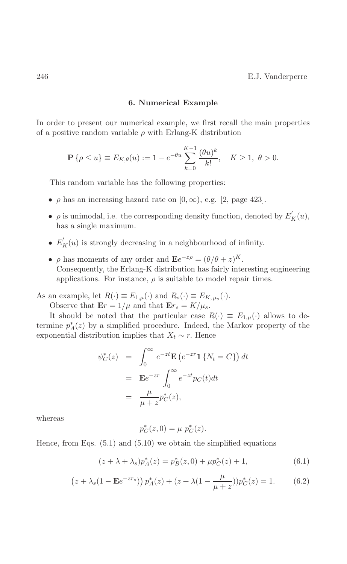#### 6. Numerical Example

In order to present our numerical example, we first recall the main properties of a positive random variable  $\rho$  with Erlang-K distribution

$$
\mathbf{P}\left\{\rho \le u\right\} \equiv E_{K,\theta}(u) := 1 - e^{-\theta u} \sum_{k=0}^{K-1} \frac{(\theta u)^k}{k!}, \quad K \ge 1, \ \theta > 0.
$$

This random variable has the following properties:

- $\rho$  has an increasing hazard rate on [0,  $\infty$ ), e.g. [2, page 423].
- $\rho$  is unimodal, i.e. the corresponding density function, denoted by  $E'_{K}(u)$ , has a single maximum.
- $E'_{K}(u)$  is strongly decreasing in a neighbourhood of infinity.
- $\rho$  has moments of any order and  $\mathbf{E}e^{-z\rho} = (\theta/\theta + z)^K$ . Consequently, the Erlang-K distribution has fairly interesting engineering applications. For instance,  $\rho$  is suitable to model repair times.

As an example, let  $R(\cdot) \equiv E_{1,\mu}(\cdot)$  and  $R_s(\cdot) \equiv E_{K,\mu_s}(\cdot)$ .

Observe that  $\mathbf{E}r = 1/\mu$  and that  $\mathbf{E}r_s = K/\mu_s$ .

It should be noted that the particular case  $R(\cdot) \equiv E_{1,\mu}(\cdot)$  allows to determine  $p_A^*(z)$  by a simplified procedure. Indeed, the Markov property of the exponential distribution implies that  $X_t \sim r$ . Hence

$$
\psi_C^*(z) = \int_0^\infty e^{-zt} \mathbf{E} \left( e^{-zr} \mathbf{1} \{ N_t = C \} \right) dt
$$

$$
= \mathbf{E} e^{-zr} \int_0^\infty e^{-zt} p_C(t) dt
$$

$$
= \frac{\mu}{\mu + z} p_C^*(z),
$$

whereas

$$
p_C^*(z,0) = \mu \ p_C^*(z).
$$

Hence, from Eqs.  $(5.1)$  and  $(5.10)$  we obtain the simplified equations

$$
(z + \lambda + \lambda_s) p_A^*(z) = p_B^*(z, 0) + \mu p_C^*(z) + 1,
$$
\n(6.1)

$$
(z + \lambda_s(1 - \mathbf{E}e^{-z r_s})) p_A^*(z) + (z + \lambda(1 - \frac{\mu}{\mu + z})) p_C^*(z) = 1.
$$
 (6.2)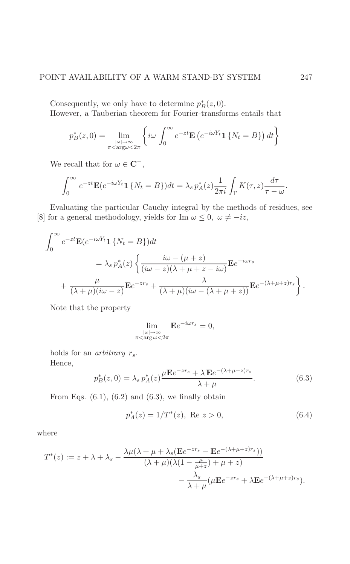Consequently, we only have to determine  $p_B^*(z,0)$ .

However, a Tauberian theorem for Fourier-transforms entails that

$$
p_B^*(z,0) = \lim_{\substack{|\omega| \to \infty \\ \pi < \arg \omega < 2\pi}} \left\{ i\omega \int_0^\infty e^{-zt} \mathbf{E} \left( e^{-i\omega Y_t} \mathbf{1} \left\{ N_t = B \right\} \right) dt \right\}
$$

We recall that for  $\omega \in \mathbb{C}^-$ ,

$$
\int_0^\infty e^{-zt} \mathbf{E}(e^{-i\omega Y_t} \mathbf{1} \{ N_t = B \}) dt = \lambda_s p_A^*(z) \frac{1}{2\pi i} \int_\Gamma K(\tau, z) \frac{d\tau}{\tau - \omega}
$$

Evaluating the particular Cauchy integral by the methods of residues, see [8] for a general methodology, yields for Im  $\omega \leq 0$ ,  $\omega \neq -iz$ ,

$$
\int_0^{\infty} e^{-zt} \mathbf{E} (e^{-i\omega Y_t} \mathbf{1} \{ N_t = B \}) dt
$$
  
=  $\lambda_s p_A^*(z) \left\{ \frac{i\omega - (\mu + z)}{(i\omega - z)(\lambda + \mu + z - i\omega)} \mathbf{E} e^{-i\omega r_s} + \frac{\mu}{(\lambda + \mu)(i\omega - z)} \mathbf{E} e^{-z r_s} + \frac{\lambda}{(\lambda + \mu)(i\omega - (\lambda + \mu + z))} \mathbf{E} e^{-(\lambda + \mu + z) r_s} \right\}.$ 

Note that the property

$$
\lim_{\substack{|\omega|\to\infty\\ \pi<\arg\omega<2\pi}} \mathbf{E}e^{-i\omega r_s} = 0,
$$

holds for an *arbitrary*  $r_s$ . Hence,

$$
p_B^*(z,0) = \lambda_s p_A^*(z) \frac{\mu \mathbf{E} e^{-z r_s} + \lambda \mathbf{E} e^{-(\lambda + \mu + z) r_s}}{\lambda + \mu}.
$$
 (6.3)

From Eqs.  $(6.1)$ ,  $(6.2)$  and  $(6.3)$ , we finally obtain

$$
p_A^*(z) = 1/T^*(z), \text{ Re } z > 0,
$$
\n(6.4)

where

$$
T^*(z) := z + \lambda + \lambda_s - \frac{\lambda \mu(\lambda + \mu + \lambda_s (\mathbf{E}e^{-z\mathbf{r}_s} - \mathbf{E}e^{-(\lambda + \mu + z)\mathbf{r}_s}))}{(\lambda + \mu)(\lambda(1 - \frac{\mu}{\mu + z}) + \mu + z)} - \frac{\lambda_s}{\lambda + \mu} (\mu \mathbf{E}e^{-z\mathbf{r}_s} + \lambda \mathbf{E}e^{-(\lambda + \mu + z)\mathbf{r}_s}).
$$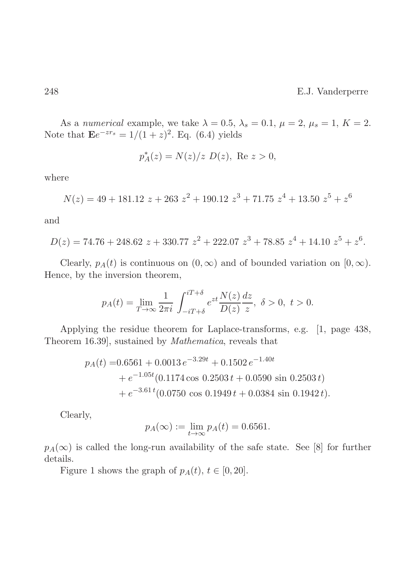As a numerical example, we take  $\lambda = 0.5$ ,  $\lambda_s = 0.1$ ,  $\mu = 2$ ,  $\mu_s = 1$ ,  $K = 2$ . Note that  $\mathbf{E}e^{-z r_s} = 1/(1+z)^2$ . Eq. (6.4) yields

$$
p_A^*(z) = N(z)/z
$$
  $D(z)$ , Re  $z > 0$ ,

where

$$
N(z) = 49 + 181.12 z + 263 z2 + 190.12 z3 + 71.75 z4 + 13.50 z5 + z6
$$

and

$$
D(z) = 74.76 + 248.62 z + 330.77 z2 + 222.07 z3 + 78.85 z4 + 14.10 z5 + z6.
$$

Clearly,  $p_A(t)$  is continuous on  $(0,\infty)$  and of bounded variation on  $[0,\infty)$ . Hence, by the inversion theorem,

$$
p_A(t) = \lim_{T \to \infty} \frac{1}{2\pi i} \int_{-iT+\delta}^{iT+\delta} e^{zt} \frac{N(z)}{D(z)} \frac{dz}{z}, \ \delta > 0, \ t > 0.
$$

Applying the residue theorem for Laplace-transforms, e.g.  $[1, \text{ page } 438,$ Theorem 16.39, sustained by *Mathematica*, reveals that

$$
p_A(t) = 0.6561 + 0.0013 e^{-3.29t} + 0.1502 e^{-1.40t}
$$
  
+  $e^{-1.05t}$  (0.1174 cos 0.2503 t + 0.0590 sin 0.2503 t)  
+  $e^{-3.61t}$  (0.0750 cos 0.1949 t + 0.0384 sin 0.1942 t).

Clearly,

$$
p_A(\infty) := \lim_{t \to \infty} p_A(t) = 0.6561.
$$

 $p_A(\infty)$  is called the long-run availability of the safe state. See [8] for further details.

Figure 1 shows the graph of  $p_A(t), t \in [0, 20]$ .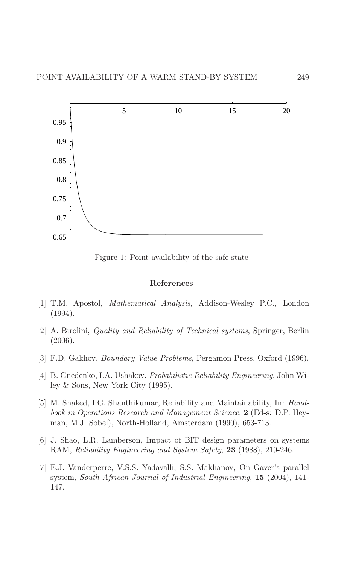

Figure 1: Point availability of the safe state

### References

- [1] T.M. Apostol, *Mathematical Analysis*, Addison-Wesley P.C., London  $(1994).$
- [2] A. Birolini, *Quality and Reliability of Technical systems*, Springer, Berlin  $(2006).$
- [3] F.D. Gakhov, *Boundary Value Problems*, Pergamon Press, Oxford (1996).
- [4] B. Gnedenko, I.A. Ushakov, *Probabilistic Reliability Engineering*, John Wiley & Sons, New York City  $(1995)$ .
- [5] M. Shaked, I.G. Shanthikumar, Reliability and Maintainability, In: Handbook in Operations Research and Management Science, 2 (Ed-s: D.P. Heyman, M.J. Sobel), North-Holland, Amsterdam (1990), 653-713.
- [6] J. Shao, L.R. Lamberson, Impact of BIT design parameters on systems RAM, Reliability Engineering and System Safety, 23 (1988), 219-246.
- [7] E.J. Vanderperre, V.S.S. Yadavalli, S.S. Makhanov, On Gaver's parallel system, South African Journal of Industrial Engineering, 15 (2004), 141-147.